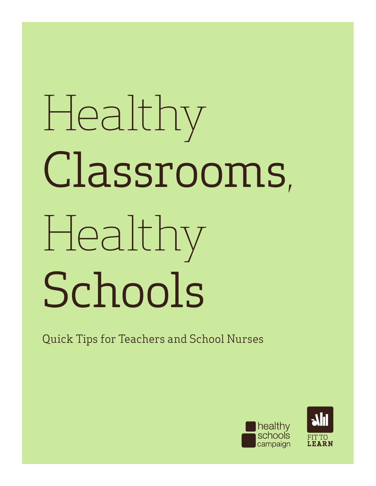# Healthy Classrooms, Healthy Schools

Quick Tips for Teachers and School Nurses



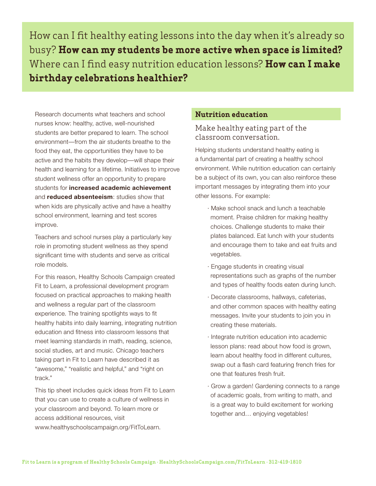How can I fit healthy eating lessons into the day when it's already so busy? **How can my students be more active when space is limited?** Where can I find easy nutrition education lessons? **How can I make birthday celebrations healthier?**

Research documents what teachers and school nurses know: healthy, active, well-nourished students are better prepared to learn. The school environment—from the air students breathe to the food they eat, the opportunities they have to be active and the habits they develop—will shape their health and learning for a lifetime. Initiatives to improve student wellness offer an opportunity to prepare students for *increased* academic achievement and **reduced absenteeism**: studies show that when kids are physically active and have a healthy school environment, learning and test scores improve.

Teachers and school nurses play a particularly key role in promoting student wellness as they spend significant time with students and serve as critical role models.

For this reason, Healthy Schools Campaign created Fit to Learn, a professional development program focused on practical approaches to making health and wellness a regular part of the classroom experience. The training spotlights ways to fit healthy habits into daily learning, integrating nutrition education and fitness into classroom lessons that meet learning standards in math, reading, science, social studies, art and music. Chicago teachers taking part in Fit to Learn have described it as "awesome," "realistic and helpful," and "right on track."

This tip sheet includes quick ideas from Fit to Learn that you can use to create a culture of wellness in your classroom and beyond. To learn more or access additional resources, visit www.healthyschoolscampaign.org/FitToLearn.

### **Nutrition education**

# Make healthy eating part of the classroom conversation.

Helping students understand healthy eating is a fundamental part of creating a healthy school environment. While nutrition education can certainly be a subject of its own, you can also reinforce these important messages by integrating them into your other lessons. For example:

- · Make school snack and lunch a teachable moment. Praise children for making healthy choices. Challenge students to make their plates balanced. Eat lunch with your students and encourage them to take and eat fruits and vegetables.
- · Engage students in creating visual representations such as graphs of the number and types of healthy foods eaten during lunch.
- · Decorate classrooms, hallways, cafeterias, and other common spaces with healthy eating messages. Invite your students to join you in creating these materials.
- · Integrate nutrition education into academic lesson plans: read about how food is grown, learn about healthy food in different cultures, swap out a flash card featuring french fries for one that features fresh fruit.
- · Grow a garden! Gardening connects to a range of academic goals, from writing to math, and is a great way to build excitement for working together and… enjoying vegetables!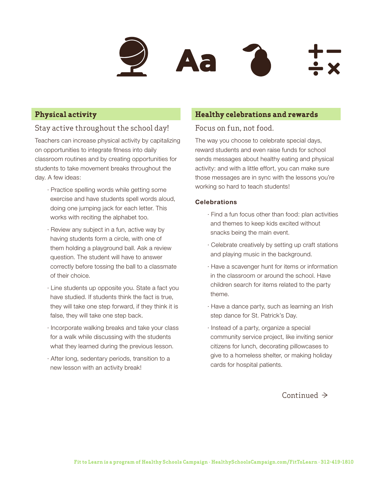

## **Physical activity**

# Stay active throughout the school day!

Teachers can increase physical activity by capitalizing on opportunities to integrate fitness into daily classroom routines and by creating opportunities for students to take movement breaks throughout the day. A few ideas:

- · Practice spelling words while getting some exercise and have students spell words aloud, doing one jumping jack for each letter. This works with reciting the alphabet too.
- · Review any subject in a fun, active way by having students form a circle, with one of them holding a playground ball. Ask a review question. The student will have to answer correctly before tossing the ball to a classmate of their choice.
- · Line students up opposite you. State a fact you have studied. If students think the fact is true, they will take one step forward, if they think it is false, they will take one step back.
- · Incorporate walking breaks and take your class for a walk while discussing with the students what they learned during the previous lesson.
- · After long, sedentary periods, transition to a new lesson with an activity break!

#### **Healthy celebrations and rewards**

# Focus on fun, not food.

The way you choose to celebrate special days, reward students and even raise funds for school sends messages about healthy eating and physical activity: and with a little effort, you can make sure those messages are in sync with the lessons you're working so hard to teach students!

#### **Celebrations**

- · Find a fun focus other than food: plan activities and themes to keep kids excited without snacks being the main event.
- · Celebrate creatively by setting up craft stations and playing music in the background.
- · Have a scavenger hunt for items or information in the classroom or around the school. Have children search for items related to the party theme.
- · Have a dance party, such as learning an Irish step dance for St. Patrick's Day.
- · Instead of a party, organize a special community service project, like inviting senior citizens for lunch, decorating pillowcases to give to a homeless shelter, or making holiday cards for hospital patients.

# Continued ≥